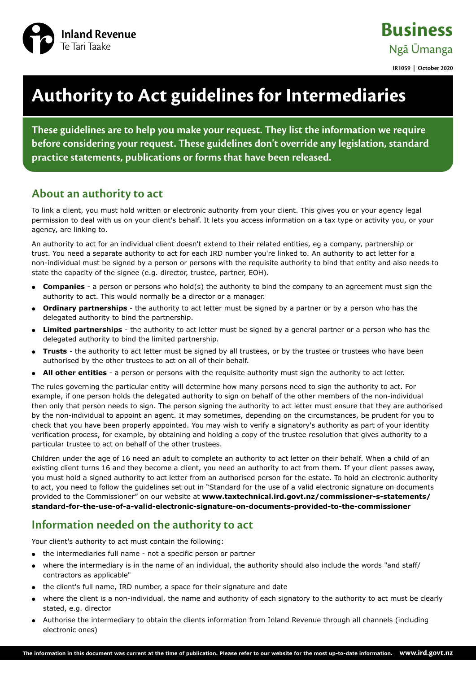

**Business** Ngā Ūmanga

**IR1059 | October 2020**

# **Authority to Act guidelines for Intermediaries**

**These guidelines are to help you make your request. They list the information we require before considering your request. These guidelines don't override any legislation, standard practice statements, publications or forms that have been released.**

## **About an authority to act**

To link a client, you must hold written or electronic authority from your client. This gives you or your agency legal permission to deal with us on your client's behalf. It lets you access information on a tax type or activity you, or your agency, are linking to.

An authority to act for an individual client doesn't extend to their related entities, eg a company, partnership or trust. You need a separate authority to act for each IRD number you're linked to. An authority to act letter for a non-individual must be signed by a person or persons with the requisite authority to bind that entity and also needs to state the capacity of the signee (e.g. director, trustee, partner, EOH).

- **Companies** a person or persons who hold(s) the authority to bind the company to an agreement must sign the authority to act. This would normally be a director or a manager.
- **Ordinary partnerships** the authority to act letter must be signed by a partner or by a person who has the delegated authority to bind the partnership.
- **Limited partnerships** the authority to act letter must be signed by a general partner or a person who has the delegated authority to bind the limited partnership.
- **Trusts** the authority to act letter must be signed by all trustees, or by the trustee or trustees who have been authorised by the other trustees to act on all of their behalf.
- **All other entities** a person or persons with the requisite authority must sign the authority to act letter.

The rules governing the particular entity will determine how many persons need to sign the authority to act. For example, if one person holds the delegated authority to sign on behalf of the other members of the non-individual then only that person needs to sign. The person signing the authority to act letter must ensure that they are authorised by the non-individual to appoint an agent. It may sometimes, depending on the circumstances, be prudent for you to check that you have been properly appointed. You may wish to verify a signatory's authority as part of your identity verification process, for example, by obtaining and holding a copy of the trustee resolution that gives authority to a particular trustee to act on behalf of the other trustees.

Children under the age of 16 need an adult to complete an authority to act letter on their behalf. When a child of an existing client turns 16 and they become a client, you need an authority to act from them. If your client passes away, you must hold a signed authority to act letter from an authorised person for the estate. To hold an electronic authority to act, you need to follow the guidelines set out in "Standard for the use of a valid electronic signature on documents provided to the Commissioner" on our website at **[www.taxtechnical.ird.govt.nz/commissioner-s-statements/](http://www.taxtechnical.ird.govt.nz/commissioner-s-statements/standard-for-the-use-of-a-valid-electronic-signature-on-documents-provided-to-the-commissioner) [standard-for-the-use-of-a-valid-electronic-signature-on-documents-provided-to-the-commissioner](http://www.taxtechnical.ird.govt.nz/commissioner-s-statements/standard-for-the-use-of-a-valid-electronic-signature-on-documents-provided-to-the-commissioner)**

# **Information needed on the authority to act**

Your client's authority to act must contain the following:

- the intermediaries full name not a specific person or partner
- where the intermediary is in the name of an individual, the authority should also include the words "and staff/ contractors as applicable"
- the client's full name, IRD number, a space for their signature and date
- where the client is a non-individual, the name and authority of each signatory to the authority to act must be clearly stated, e.g. director
- Authorise the intermediary to obtain the clients information from Inland Revenue through all channels (including electronic ones)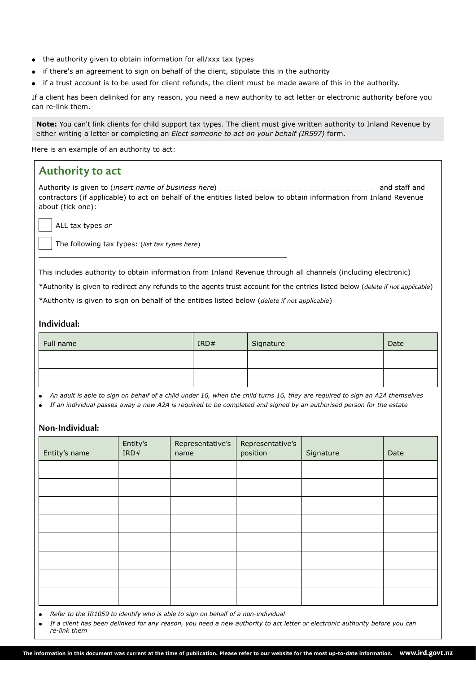- the authority given to obtain information for all/xxx tax types
- if there's an agreement to sign on behalf of the client, stipulate this in the authority
- if a trust account is to be used for client refunds, the client must be made aware of this in the authority.

If a client has been delinked for any reason, you need a new authority to act letter or electronic authority before you can re-link them.

**Note:** You can't link clients for child support tax types. The client must give written authority to Inland Revenue by either writing a letter or completing an *Elect someone to act on your behalf (IR597)* form.

Here is an example of an authority to act:

### **Authority to act**

Authority is given to *(insert name of business here)* **and staff and** staff and contractors (if applicable) to act on behalf of the entities listed below to obtain information from Inland Revenue about (tick one):

ALL tax types *or*

The following tax types: (*list tax types here*)

This includes authority to obtain information from Inland Revenue through all channels (including electronic)

\*Authority is given to redirect any refunds to the agents trust account for the entries listed below (*delete if not applicable*)

\*Authority is given to sign on behalf of the entities listed below (*delete if not applicable*)

#### **Individual:**

| Full name | IRD# | Signature | Date |
|-----------|------|-----------|------|
|           |      |           |      |
|           |      |           |      |

*An adult is able to sign on behalf of a child under 16, when the child turns 16, they are required to sign an A2A themselves*

*If an individual passes away a new A2A is required to be completed and signed by an authorised person for the estate*

#### **Non-Individual:**

| Entity's name | Entity's<br>IRD# | Representative's<br>name | Representative's<br>position | Signature | Date |
|---------------|------------------|--------------------------|------------------------------|-----------|------|
|               |                  |                          |                              |           |      |
|               |                  |                          |                              |           |      |
|               |                  |                          |                              |           |      |
|               |                  |                          |                              |           |      |
|               |                  |                          |                              |           |      |
|               |                  |                          |                              |           |      |
|               |                  |                          |                              |           |      |
|               |                  |                          |                              |           |      |

*Refer to the IR1059 to identify who is able to sign on behalf of a non-individual*

 *If a client has been delinked for any reason, you need a new authority to act letter or electronic authority before you can re-link them*